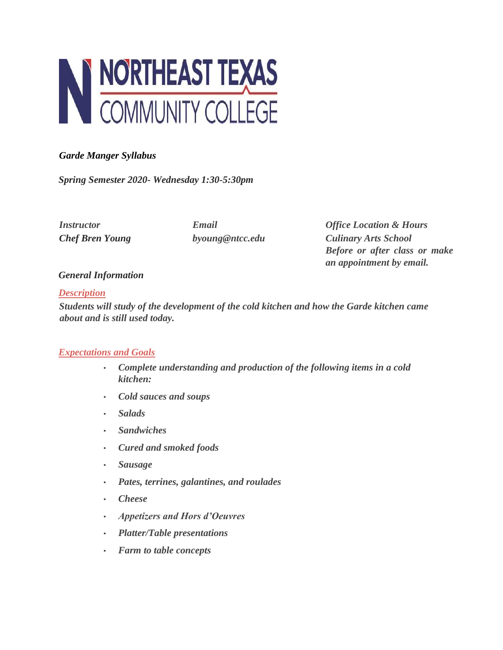

# *Garde Manger Syllabus*

*Spring Semester 2020- Wednesday 1:30-5:30pm* 

*Instructor Email Office Location & Hours Chef Bren Young byoung@ntcc.edu Culinary Arts School Before or after class or make an appointment by email.* 

## *General Information*

#### *Description*

*Students will study of the development of the cold kitchen and how the Garde kitchen came about and is still used today.* 

## *Expectations and Goals*

- *Complete understanding and production of the following items in a cold kitchen:*
- *Cold sauces and soups*
- *Salads*
- *Sandwiches*
- *Cured and smoked foods*
- *Sausage*
- *Pates, terrines, galantines, and roulades*
- *Cheese*
- *Appetizers and Hors d'Oeuvres*
- *Platter/Table presentations*
- *Farm to table concepts*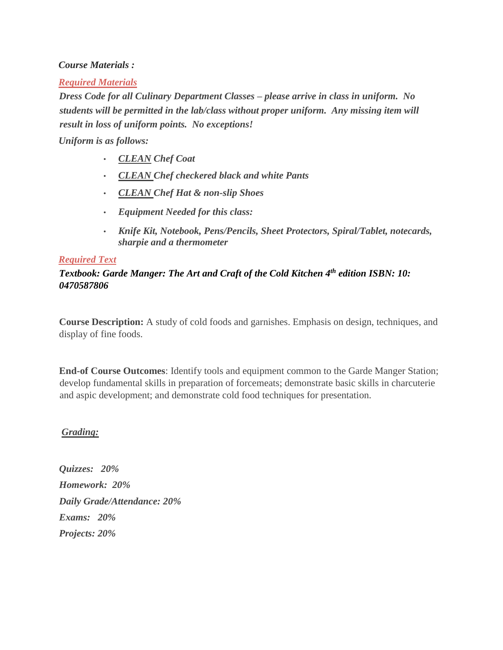#### *Course Materials :*

#### *Required Materials*

*Dress Code for all Culinary Department Classes – please arrive in class in uniform. No students will be permitted in the lab/class without proper uniform. Any missing item will result in loss of uniform points. No exceptions!*

#### *Uniform is as follows:*

- *CLEAN Chef Coat*
- *CLEAN Chef checkered black and white Pants*
- *CLEAN Chef Hat & non-slip Shoes*
- *Equipment Needed for this class:*
- *Knife Kit, Notebook, Pens/Pencils, Sheet Protectors, Spiral/Tablet, notecards, sharpie and a thermometer*

#### *Required Text*

# *Textbook: Garde Manger: The Art and Craft of the Cold Kitchen 4th edition ISBN: 10: 0470587806*

**Course Description:** A study of cold foods and garnishes. Emphasis on design, techniques, and display of fine foods.

**End-of Course Outcomes**: Identify tools and equipment common to the Garde Manger Station; develop fundamental skills in preparation of forcemeats; demonstrate basic skills in charcuterie and aspic development; and demonstrate cold food techniques for presentation.

## *Grading:*

*Quizzes: 20% Homework: 20% Daily Grade/Attendance: 20% Exams: 20% Projects: 20%*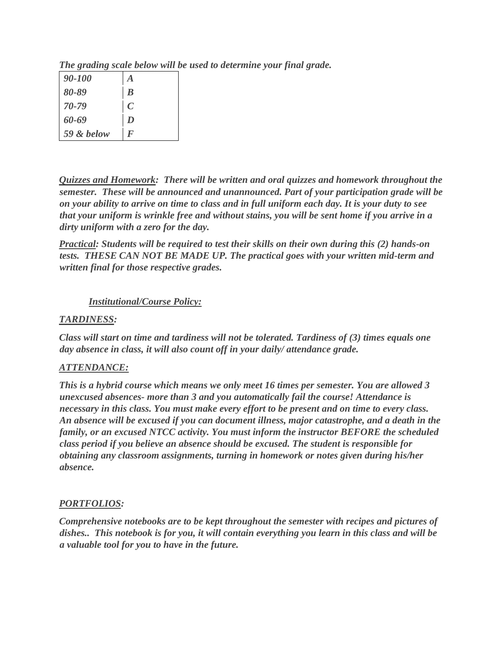| 90-100     | $\bm{A}$         |
|------------|------------------|
| 80-89      | $\boldsymbol{B}$ |
| 70-79      | $\mathcal{C}$    |
| 60-69      | $\boldsymbol{D}$ |
| 59 & below | F                |

*The grading scale below will be used to determine your final grade.* 

*Quizzes and Homework: There will be written and oral quizzes and homework throughout the semester. These will be announced and unannounced. Part of your participation grade will be on your ability to arrive on time to class and in full uniform each day. It is your duty to see that your uniform is wrinkle free and without stains, you will be sent home if you arrive in a dirty uniform with a zero for the day.* 

*Practical: Students will be required to test their skills on their own during this (2) hands-on tests. THESE CAN NOT BE MADE UP. The practical goes with your written mid-term and written final for those respective grades.* 

# *Institutional/Course Policy:*

## *TARDINESS:*

*Class will start on time and tardiness will not be tolerated. Tardiness of (3) times equals one day absence in class, it will also count off in your daily/ attendance grade.* 

# *ATTENDANCE:*

*This is a hybrid course which means we only meet 16 times per semester. You are allowed 3 unexcused absences- more than 3 and you automatically fail the course! Attendance is necessary in this class. You must make every effort to be present and on time to every class. An absence will be excused if you can document illness, major catastrophe, and a death in the family, or an excused NTCC activity. You must inform the instructor BEFORE the scheduled class period if you believe an absence should be excused. The student is responsible for obtaining any classroom assignments, turning in homework or notes given during his/her absence.* 

## *PORTFOLIOS:*

*Comprehensive notebooks are to be kept throughout the semester with recipes and pictures of dishes.. This notebook is for you, it will contain everything you learn in this class and will be a valuable tool for you to have in the future.*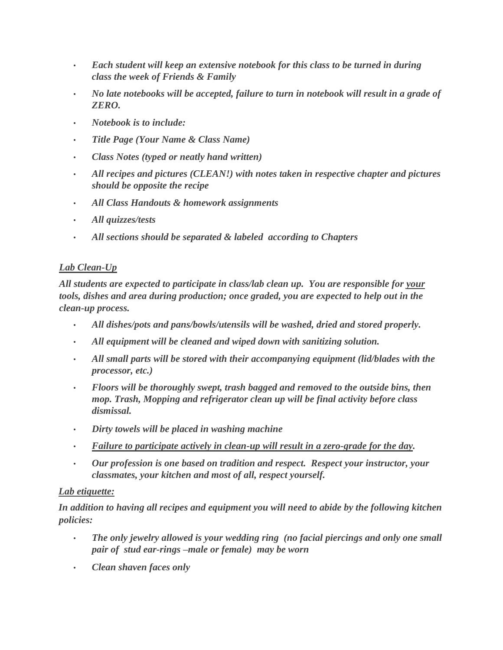- *Each student will keep an extensive notebook for this class to be turned in during class the week of Friends & Family*
- *No late notebooks will be accepted, failure to turn in notebook will result in a grade of ZERO.*
- *Notebook is to include:*
- *Title Page (Your Name & Class Name)*
- *Class Notes (typed or neatly hand written)*
- *All recipes and pictures (CLEAN!) with notes taken in respective chapter and pictures should be opposite the recipe*
- *All Class Handouts & homework assignments*
- *All quizzes/tests*
- *All sections should be separated & labeled according to Chapters*

# *Lab Clean-Up*

*All students are expected to participate in class/lab clean up. You are responsible for your tools, dishes and area during production; once graded, you are expected to help out in the clean-up process.* 

- *All dishes/pots and pans/bowls/utensils will be washed, dried and stored properly.*
- *All equipment will be cleaned and wiped down with sanitizing solution.*
- *All small parts will be stored with their accompanying equipment (lid/blades with the processor, etc.)*
- *Floors will be thoroughly swept, trash bagged and removed to the outside bins, then mop. Trash, Mopping and refrigerator clean up will be final activity before class dismissal.*
- *Dirty towels will be placed in washing machine*
- *Failure to participate actively in clean-up will result in a zero-grade for the day.*
- *Our profession is one based on tradition and respect. Respect your instructor, your classmates, your kitchen and most of all, respect yourself.*

## *Lab etiquette:*

*In addition to having all recipes and equipment you will need to abide by the following kitchen policies:* 

- *The only jewelry allowed is your wedding ring (no facial piercings and only one small pair of stud ear-rings –male or female) may be worn*
- *Clean shaven faces only*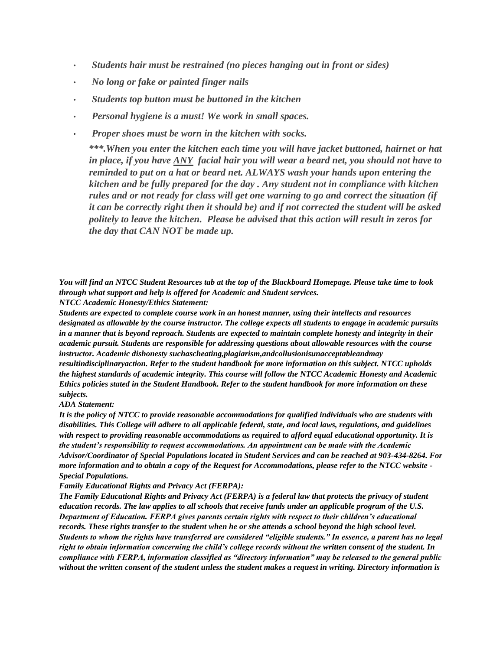- *Students hair must be restrained (no pieces hanging out in front or sides)*
- *No long or fake or painted finger nails*
- *Students top button must be buttoned in the kitchen*
- *Personal hygiene is a must! We work in small spaces.*
- *Proper shoes must be worn in the kitchen with socks.*

*\*\*\*.When you enter the kitchen each time you will have jacket buttoned, hairnet or hat in place, if you have ANY facial hair you will wear a beard net, you should not have to reminded to put on a hat or beard net. ALWAYS wash your hands upon entering the kitchen and be fully prepared for the day . Any student not in compliance with kitchen rules and or not ready for class will get one warning to go and correct the situation (if it can be correctly right then it should be) and if not corrected the student will be asked politely to leave the kitchen. Please be advised that this action will result in zeros for the day that CAN NOT be made up.* 

*You will find an NTCC Student Resources tab at the top of the Blackboard Homepage. Please take time to look through what support and help is offered for Academic and Student services.*

*NTCC Academic Honesty/Ethics Statement:*

*Students are expected to complete course work in an honest manner, using their intellects and resources designated as allowable by the course instructor. The college expects all students to engage in academic pursuits in a manner that is beyond reproach. Students are expected to maintain complete honesty and integrity in their academic pursuit. Students are responsible for addressing questions about allowable resources with the course instructor. Academic dishonesty suchascheating,plagiarism,andcollusionisunacceptableandmay resultindisciplinaryaction. Refer to the student handbook for more information on this subject. NTCC upholds the highest standards of academic integrity. This course will follow the NTCC Academic Honesty and Academic Ethics policies stated in the Student Handbook. Refer to the student handbook for more information on these subjects.*

#### *ADA Statement:*

*It is the policy of NTCC to provide reasonable accommodations for qualified individuals who are students with disabilities. This College will adhere to all applicable federal, state, and local laws, regulations, and guidelines with respect to providing reasonable accommodations as required to afford equal educational opportunity. It is the student's responsibility to request accommodations. An appointment can be made with the Academic Advisor/Coordinator of Special Populations located in Student Services and can be reached at 903-434-8264. For more information and to obtain a copy of the Request for Accommodations, please refer to the NTCC website - Special Populations.*

*Family Educational Rights and Privacy Act (FERPA):*

*The Family Educational Rights and Privacy Act (FERPA) is a federal law that protects the privacy of student education records. The law applies to all schools that receive funds under an applicable program of the U.S. Department of Education. FERPA gives parents certain rights with respect to their children's educational records. These rights transfer to the student when he or she attends a school beyond the high school level. Students to whom the rights have transferred are considered "eligible students." In essence, a parent has no legal right to obtain information concerning the child's college records without the written consent of the student. In compliance with FERPA, information classified as "directory information" may be released to the general public without the written consent of the student unless the student makes a request in writing. Directory information is*